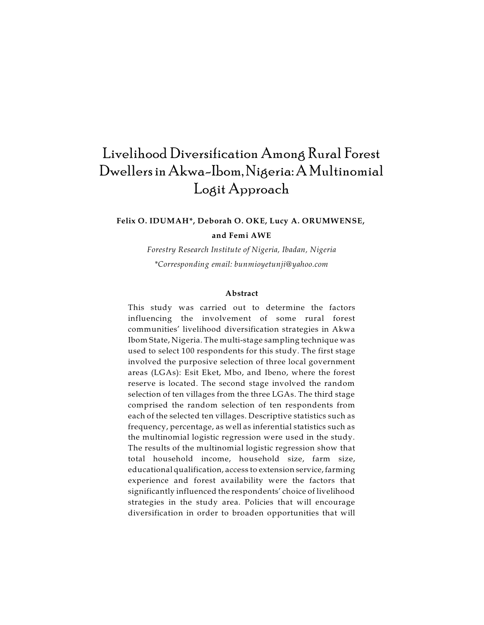# Livelihood Diversification Among Rural Forest Dwellers in Akwa-Ibom,Nigeria: A Multinomial Logit Approach

# **Felix O. IDUMAH\*, Deborah O. OKE, Lucy A. ORUMWENSE, and Femi AWE**

*Forestry Research Institute of Nigeria, Ibadan, Nigeria \*Corresponding email: bunmioyetunji@yahoo.com*

#### **Abstract**

This study was carried out to determine the factors influencing the involvement of some rural forest communities' livelihood diversification strategies in Akwa Ibom State, Nigeria. The multi-stage sampling technique was used to select 100 respondents for this study. The first stage involved the purposive selection of three local government areas (LGAs): Esit Eket, Mbo, and Ibeno, where the forest reserve is located. The second stage involved the random selection of ten villages from the three LGAs. The third stage comprised the random selection of ten respondents from each of the selected ten villages. Descriptive statistics such as frequency, percentage, as well as inferential statistics such as the multinomial logistic regression were used in the study. The results of the multinomial logistic regression show that total household income, household size, farm size, educational qualification, access to extension service, farming experience and forest availability were the factors that significantly influenced the respondents' choice of livelihood strategies in the study area. Policies that will encourage diversification in order to broaden opportunities that will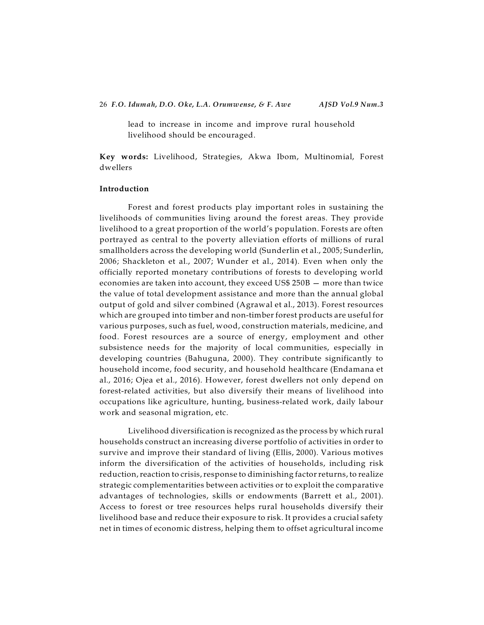lead to increase in income and improve rural household livelihood should be encouraged.

**Key words:** Livelihood, Strategies, Akwa Ibom, Multinomial, Forest dwellers

#### **Introduction**

Forest and forest products play important roles in sustaining the livelihoods of communities living around the forest areas. They provide livelihood to a great proportion of the world's population. Forests are often portrayed as central to the poverty alleviation efforts of millions of rural smallholders across the developing world (Sunderlin et al., 2005; Sunderlin, 2006; Shackleton et al., 2007; Wunder et al., 2014). Even when only the officially reported monetary contributions of forests to developing world economies are taken into account, they exceed US\$ 250B — more than twice the value of total development assistance and more than the annual global output of gold and silver combined (Agrawal et al., 2013). Forest resources which are grouped into timber and non-timber forest products are useful for various purposes, such as fuel, wood, construction materials, medicine, and food. Forest resources are a source of energy, employment and other subsistence needs for the majority of local communities, especially in developing countries (Bahuguna, 2000). They contribute significantly to household income, food security, and household healthcare (Endamana et al., 2016; Ojea et al., 2016). However, forest dwellers not only depend on forest-related activities, but also diversify their means of livelihood into occupations like agriculture, hunting, business-related work, daily labour work and seasonal migration, etc.

Livelihood diversification is recognized as the process by which rural households construct an increasing diverse portfolio of activities in order to survive and improve their standard of living (Ellis, 2000). Various motives inform the diversification of the activities of households, including risk reduction, reaction to crisis, response to diminishing factor returns, to realize strategic complementarities between activities or to exploit the comparative advantages of technologies, skills or endowments (Barrett et al., 2001). Access to forest or tree resources helps rural households diversify their livelihood base and reduce their exposure to risk. It provides a crucial safety net in times of economic distress, helping them to offset agricultural income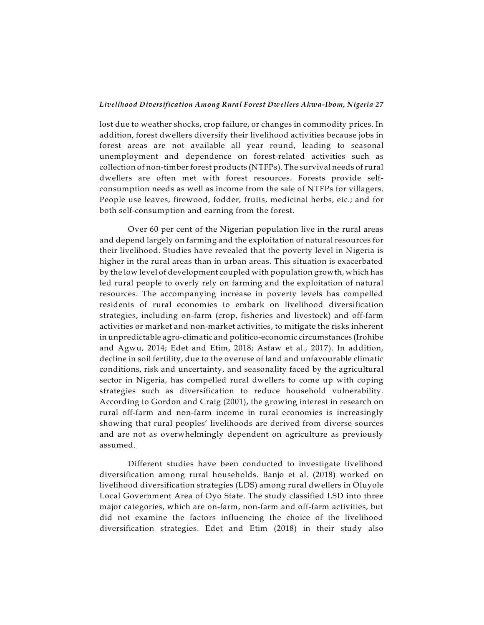lost due to weather shocks, crop failure, or changes in commodity prices. In addition, forest dwellers diversify their livelihood activities because jobs in forest areas are not available all year round, leading to seasonal unemployment and dependence on forest-related activities such as collection of non-timber forest products (NTFPs). The survival needs ofrural dwellers are often met with forest resources. Forests provide selfconsumption needs as well as income from the sale of NTFPs for villagers. People use leaves, firewood, fodder, fruits, medicinal herbs, etc.; and for both self-consumption and earning from the forest.

Over 60 per cent of the Nigerian population live in the rural areas and depend largely on farming and the exploitation of natural resources for their livelihood. Studies have revealed that the poverty level in Nigeria is higher in the rural areas than in urban areas. This situation is exacerbated by the low level of development coupled with population growth, which has led rural people to overly rely on farming and the exploitation of natural resources. The accompanying increase in poverty levels has compelled residents of rural economies to embark on livelihood diversification strategies, including on-farm (crop, fisheries and livestock) and off-farm activities or market and non-market activities, to mitigate the risks inherent in unpredictable agro-climatic and politico-economic circumstances (Irohibe and Agwu, 2014; Edet and Etim, 2018; Asfaw et al., 2017). In addition, decline in soil fertility, due to the overuse of land and unfavourable climatic conditions, risk and uncertainty, and seasonality faced by the agricultural sector in Nigeria, has compelled rural dwellers to come up with coping strategies such as diversification to reduce household vulnerability. According to Gordon and Craig (2001), the growing interest in research on rural off-farm and non-farm income in rural economies is increasingly showing that rural peoples' livelihoods are derived from diverse sources and are not as overwhelmingly dependent on agriculture as previously assumed.

Different studies have been conducted to investigate livelihood diversification among rural households. Banjo et al. (2018) worked on livelihood diversification strategies (LDS) among rural dwellers in Oluyole Local Government Area of Oyo State. The study classified LSD into three major categories, which are on-farm, non-farm and off-farm activities, but did not examine the factors influencing the choice of the livelihood diversification strategies. Edet and Etim (2018) in their study also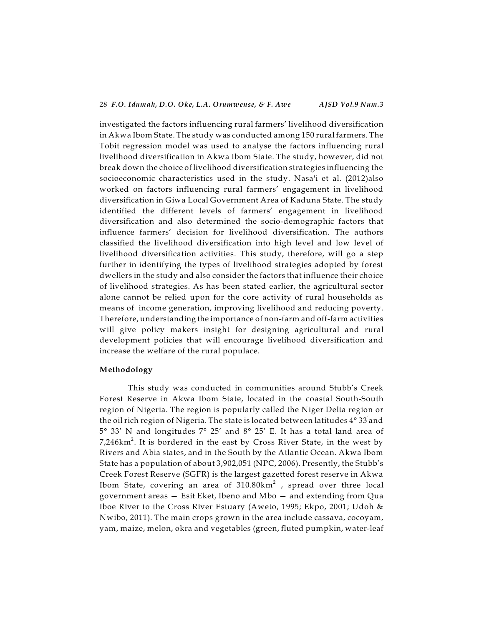investigated the factors influencing rural farmers' livelihood diversification in Akwa Ibom State. The study was conducted among 150 rural farmers. The Tobit regression model was used to analyse the factors influencing rural livelihood diversification in Akwa Ibom State. The study, however, did not break down the choice of livelihood diversification strategies influencing the socioeconomic characteristics used in the study. Nasa'i et al. (2012)also worked on factors influencing rural farmers' engagement in livelihood diversification in Giwa Local Government Area of Kaduna State. The study identified the different levels of farmers' engagement in livelihood diversification and also determined the socio-demographic factors that influence farmers' decision for livelihood diversification. The authors classified the livelihood diversification into high level and low level of livelihood diversification activities. This study, therefore, will go a step further in identifying the types of livelihood strategies adopted by forest dwellers in the study and also consider the factors that influence their choice of livelihood strategies. As has been stated earlier, the agricultural sector alone cannot be relied upon for the core activity of rural households as means of income generation, improving livelihood and reducing poverty. Therefore, understanding the importance of non-farm and off-farm activities will give policy makers insight for designing agricultural and rural development policies that will encourage livelihood diversification and increase the welfare of the rural populace.

#### **Methodology**

This study was conducted in communities around Stubb's Creek Forest Reserve in Akwa Ibom State, located in the coastal South-South region of Nigeria. The region is popularly called the Niger Delta region or the oil rich region of Nigeria. The state is located between latitudes  $4^\circ$  33 $^{'}$ and 5° 33' N and longitudes 7° 25' and 8° 25' E. It has a total land area of 7,246km $^2$ . It is bordered in the east by Cross River State, in the west by Rivers and Abia states, and in the South by the Atlantic Ocean. Akwa Ibom State has a population of about 3,902,051 (NPC, 2006). Presently, the Stubb's Creek Forest Reserve (SGFR) is the largest gazetted forest reserve in Akwa Ibom State, covering an area of 310.80km $^2$  , spread over three local government areas — Esit Eket, Ibeno and Mbo — and extending from Qua Iboe River to the Cross River Estuary (Aweto, 1995; Ekpo, 2001; Udoh & Nwibo, 2011). The main crops grown in the area include cassava, cocoyam, yam, maize, melon, okra and vegetables (green, fluted pumpkin, water-leaf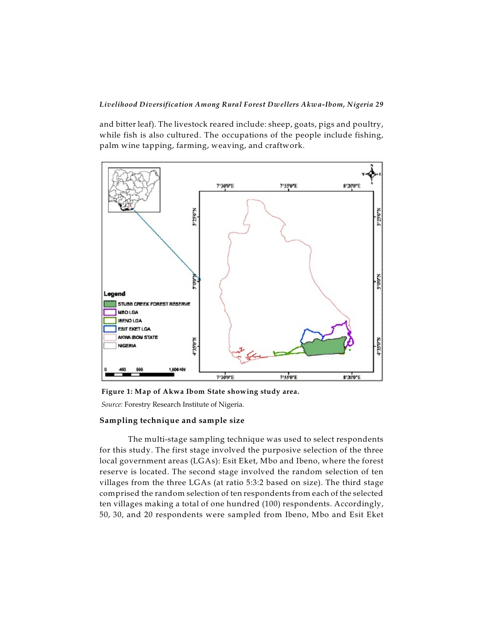and bitter leaf). The livestock reared include: sheep, goats, pigs and poultry, while fish is also cultured. The occupations of the people include fishing, palm wine tapping, farming, weaving, and craftwork.



**Figure 1: Map of Akwa Ibom State showing study area.**

*Source:* Forestry Research Institute of Nigeria.

#### **Sampling technique and sample size**

The multi-stage sampling technique was used to select respondents for this study. The first stage involved the purposive selection of the three local government areas (LGAs): Esit Eket, Mbo and Ibeno, where the forest reserve is located. The second stage involved the random selection of ten villages from the three LGAs (at ratio 5:3:2 based on size). The third stage comprised the random selection of ten respondents from each of the selected ten villages making a total of one hundred (100) respondents. Accordingly, 50, 30, and 20 respondents were sampled from Ibeno, Mbo and Esit Eket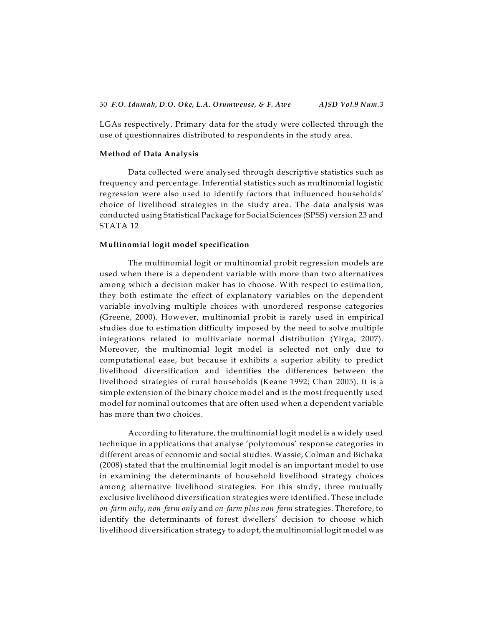LGAs respectively. Primary data for the study were collected through the use of questionnaires distributed to respondents in the study area.

#### **Method of Data Analysis**

Data collected were analysed through descriptive statistics such as frequency and percentage. Inferential statistics such as multinomial logistic regression were also used to identify factors that influenced households' choice of livelihood strategies in the study area. The data analysis was conducted using Statistical Package for Social Sciences (SPSS) version 23 and STATA 12.

#### **Multinomial logit model specification**

The multinomial logit or multinomial probit regression models are used when there is a dependent variable with more than two alternatives among which a decision maker has to choose. With respect to estimation, they both estimate the effect of explanatory variables on the dependent variable involving multiple choices with unordered response categories (Greene, 2000). However, multinomial probit is rarely used in empirical studies due to estimation difficulty imposed by the need to solve multiple integrations related to multivariate normal distribution (Yirga, 2007). Moreover, the multinomial logit model is selected not only due to computational ease, but because it exhibits a superior ability to predict livelihood diversification and identifies the differences between the livelihood strategies of rural households (Keane 1992; Chan 2005). It is a simple extension of the binary choice model and is the most frequently used model for nominal outcomes that are often used when a dependent variable has more than two choices.

According to literature, the multinomial logit model is a widely used technique in applications that analyse 'polytomous' response categories in different areas of economic and social studies. Wassie, Colman and Bichaka (2008) stated that the multinomial logit model is an important model to use in examining the determinants of household livelihood strategy choices among alternative livelihood strategies. For this study, three mutually exclusive livelihood diversification strategies were identified. These include *on-farm only*, *non-farm only* and *on-farm plus non-farm* strategies. Therefore, to identify the determinants of forest dwellers' decision to choose which livelihood diversification strategy to adopt, the multinomial logit model was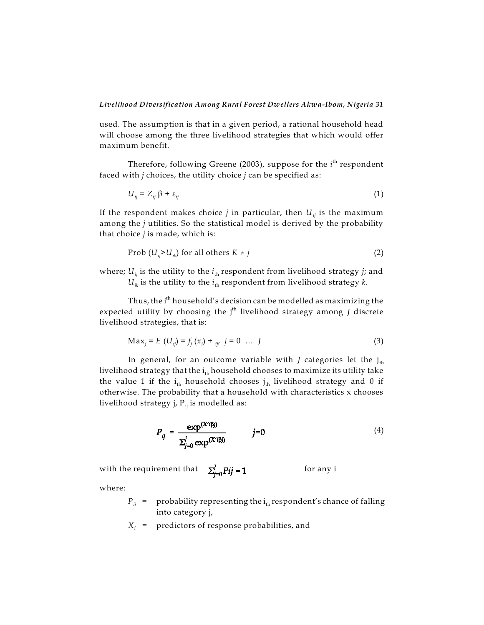used. The assumption is that in a given period, a rational household head will choose among the three livelihood strategies that which would offer maximum benefit.

Therefore, following Greene (2003), suppose for the *i*<sup>th</sup> respondent faced with *j* choices, the utility choice *j* can be specified as:

$$
U_{ij} = Z_{ij} \beta + \varepsilon_{ij} \tag{1}
$$

*ij* If the respondent makes choice *j* in particular, then *U* is the maximum among the *j* utilities. So the statistical model is derived by the probability that choice *j* is made, which is:

$$
\text{Prob } (U_{ij} > U_{ik}) \text{ for all others } K \neq j \tag{2}
$$

where;  $U_{ij}$  is the utility to the  $i_{\rm th}$  respondent from livelihood strategy  $j$ ; and  $U_{ik}$  is the utility to the  $i_{\text{th}}$  respondent from livelihood strategy  $k.$ 

Thus, the i<sup>th</sup> household's decision can be modelled as maximizing the expected utility by choosing the j<sup>th</sup> livelihood strategy among *J* discrete livelihood strategies, that is:

$$
Max_j = E(U_{ij}) = f_j(x_i) + \frac{j}{j'} \quad j = 0 \quad \dots \quad J
$$
 (3)

In general, for an outcome variable with *J* categories let the j<sub>th</sub> livelihood strategy that the i<sub>th</sub> household chooses to maximize its utility take the value 1 if the  $\rm i_{\text{th}}$  household chooses  $\rm j_{\text{th}}$  livelihood strategy and 0 if otherwise. The probability that a household with characteristics x chooses livelihood strategy j, P<sub>ij</sub> is modelled as:

$$
P_{ij} = \frac{\exp^{(X'i\beta j)}}{\sum_{j=0}^{J} \exp^{(X'i\beta j)}} \qquad j=0
$$
 (4)

with the requirement that  $\Sigma_{j=0}^J Pjj = 1$  for any i

where:

- $P_{ij}$  =  $\;$  probability representing the i $_{\rm th}$ respondent's chance of falling into category j,
- *X<sup>i</sup>* = predictors of response probabilities, and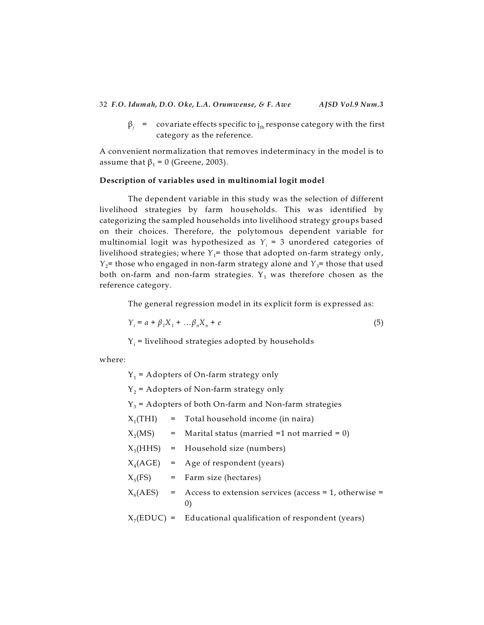$\beta_j$  = covariate effects specific to j<sub>th</sub> response category with the first category as the reference.

A convenient normalization that removes indeterminacy in the model is to assume that  $\beta_1$  = 0 (Greene, 2003).

## **Description of variables used in multinomial logit model**

The dependent variable in this study was the selection of different livelihood strategies by farm households. This was identified by categorizing the sampled households into livelihood strategy groups based on their choices. Therefore, the polytomous dependent variable for multinomial logit was hypothesized as  $Y_i$  = 3 unordered categories of livelihood strategies; where  $Y_1^{\bf =}$  those that adopted on-farm strategy only, *Y*<sub>2</sub>= those who engaged in non-farm strategy alone and *Y*<sub>3</sub>= those that used both on-farm and non-farm strategies.  ${\tt Y}_1$  was therefore chosen as the reference category.

The general regression model in its explicit form is expressed as:

$$
Y_i = a + \beta_1 X_1 + \dots + \beta_n X_n + e \tag{5}
$$

 $Y_i$  = livelihood strategies adopted by households

where:

 $Y_1$  = Adopters of On-farm strategy only

 $Y_2$  = Adopters of Non-farm strategy only

 $Y_3$  = Adopters of both On-farm and Non-farm strategies

- $X_1(THI)$ = Total household income (in naira)
- $X_2(MS)$  $=$  Marital status (married =1 not married = 0)
- $X_3(HHS)$  = Household size (numbers)

$$
X_4(AGE) = Age of respondent (years)
$$

- $X_5(FS)$ = Farm size (hectares)
- $X_6(AES)$  $=$  Access to extension services (access  $=$  1, otherwise  $=$ 0)
- $X_7(EDUC)$  = Educational qualification of respondent (years)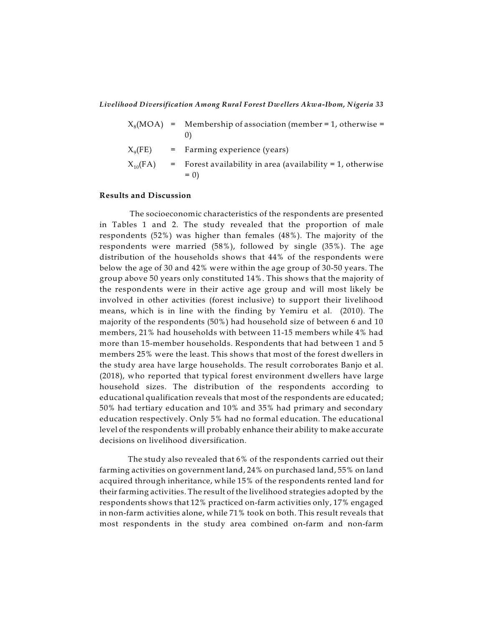$$
X_8(MOA) = \text{Membership of association (member = 1, otherwise = 0)}
$$
\n
$$
X_9(FE) = \text{Farming experience (years)}
$$
\n
$$
X_{10}(FA) = \text{Forest availability in area (availability = 1, otherwise = 0)}
$$

#### **Results and Discussion**

The socioeconomic characteristics of the respondents are presented in Tables 1 and 2. The study revealed that the proportion of male respondents (52%) was higher than females (48%). The majority of the respondents were married (58%), followed by single (35%). The age distribution of the households shows that 44% of the respondents were below the age of 30 and 42% were within the age group of 30-50 years. The group above 50 years only constituted 14%. This shows that the majority of the respondents were in their active age group and will most likely be involved in other activities (forest inclusive) to support their livelihood means, which is in line with the finding by Yemiru et al. (2010). The majority of the respondents (50%) had household size of between 6 and 10 members, 21% had households with between 11-15 members while 4% had more than 15-member households. Respondents that had between 1 and 5 members 25% were the least. This shows that most of the forest dwellers in the study area have large households. The result corroborates Banjo et al. (2018), who reported that typical forest environment dwellers have large household sizes. The distribution of the respondents according to educational qualification reveals that most of the respondents are educated; 50% had tertiary education and 10% and 35% had primary and secondary education respectively. Only 5% had no formal education. The educational level of the respondents will probably enhance their ability to make accurate decisions on livelihood diversification.

The study also revealed that 6% of the respondents carried out their farming activities on government land, 24% on purchased land, 55% on land acquired through inheritance, while 15% of the respondents rented land for their farming activities. The result of the livelihood strategies adopted by the respondents shows that 12% practiced on-farm activities only, 17% engaged in non-farm activities alone, while 71% took on both. This result reveals that most respondents in the study area combined on-farm and non-farm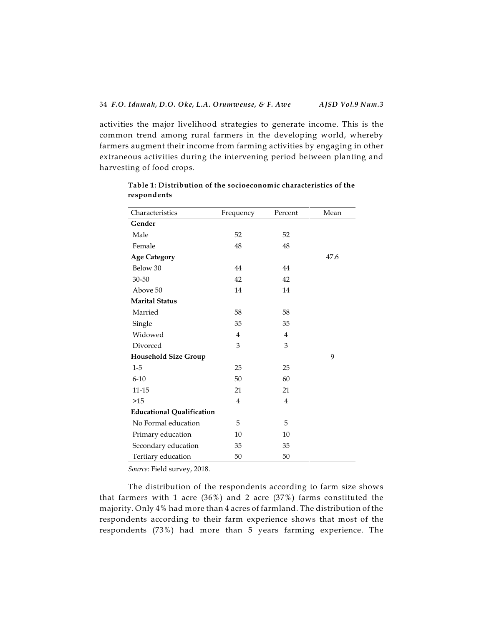activities the major livelihood strategies to generate income. This is the common trend among rural farmers in the developing world, whereby farmers augment their income from farming activities by engaging in other extraneous activities during the intervening period between planting and harvesting of food crops.

| Gender<br>Male<br>52<br>52<br>Female<br>48<br>48<br><b>Age Category</b><br>47.6<br>Below 30<br>44<br>44<br>42<br>$30 - 50$<br>42<br>Above 50<br>14<br>14<br><b>Marital Status</b><br>Married<br>58<br>58<br>35<br>35<br>Single<br>Widowed<br>$\overline{4}$<br>$\overline{4}$<br>3<br>Divorced<br>3<br><b>Household Size Group</b><br>9<br>$1-5$<br>25<br>25<br>$6 - 10$<br>50<br>60<br>11-15<br>21<br>21<br>$\overline{4}$<br>>15<br>$\overline{4}$<br><b>Educational Qualification</b><br>No Formal education<br>5<br>5<br>10<br>10<br>Primary education | Characteristics     | Frequency | Percent | Mean |
|------------------------------------------------------------------------------------------------------------------------------------------------------------------------------------------------------------------------------------------------------------------------------------------------------------------------------------------------------------------------------------------------------------------------------------------------------------------------------------------------------------------------------------------------------------|---------------------|-----------|---------|------|
|                                                                                                                                                                                                                                                                                                                                                                                                                                                                                                                                                            |                     |           |         |      |
|                                                                                                                                                                                                                                                                                                                                                                                                                                                                                                                                                            |                     |           |         |      |
|                                                                                                                                                                                                                                                                                                                                                                                                                                                                                                                                                            |                     |           |         |      |
|                                                                                                                                                                                                                                                                                                                                                                                                                                                                                                                                                            |                     |           |         |      |
|                                                                                                                                                                                                                                                                                                                                                                                                                                                                                                                                                            |                     |           |         |      |
|                                                                                                                                                                                                                                                                                                                                                                                                                                                                                                                                                            |                     |           |         |      |
|                                                                                                                                                                                                                                                                                                                                                                                                                                                                                                                                                            |                     |           |         |      |
|                                                                                                                                                                                                                                                                                                                                                                                                                                                                                                                                                            |                     |           |         |      |
|                                                                                                                                                                                                                                                                                                                                                                                                                                                                                                                                                            |                     |           |         |      |
|                                                                                                                                                                                                                                                                                                                                                                                                                                                                                                                                                            |                     |           |         |      |
|                                                                                                                                                                                                                                                                                                                                                                                                                                                                                                                                                            |                     |           |         |      |
|                                                                                                                                                                                                                                                                                                                                                                                                                                                                                                                                                            |                     |           |         |      |
|                                                                                                                                                                                                                                                                                                                                                                                                                                                                                                                                                            |                     |           |         |      |
|                                                                                                                                                                                                                                                                                                                                                                                                                                                                                                                                                            |                     |           |         |      |
|                                                                                                                                                                                                                                                                                                                                                                                                                                                                                                                                                            |                     |           |         |      |
|                                                                                                                                                                                                                                                                                                                                                                                                                                                                                                                                                            |                     |           |         |      |
|                                                                                                                                                                                                                                                                                                                                                                                                                                                                                                                                                            |                     |           |         |      |
|                                                                                                                                                                                                                                                                                                                                                                                                                                                                                                                                                            |                     |           |         |      |
|                                                                                                                                                                                                                                                                                                                                                                                                                                                                                                                                                            |                     |           |         |      |
|                                                                                                                                                                                                                                                                                                                                                                                                                                                                                                                                                            |                     |           |         |      |
|                                                                                                                                                                                                                                                                                                                                                                                                                                                                                                                                                            | Secondary education | 35        | 35      |      |
| 50<br>50<br>Tertiary education                                                                                                                                                                                                                                                                                                                                                                                                                                                                                                                             |                     |           |         |      |

# **Table 1: Distribution of the socioeconomic characteristics of the respondents**

*Source:* Field survey, 2018.

The distribution of the respondents according to farm size shows that farmers with 1 acre (36%) and 2 acre (37%) farms constituted the majority. Only 4% had more than 4 acres of farmland. The distribution of the respondents according to their farm experience shows that most of the respondents (73%) had more than 5 years farming experience. The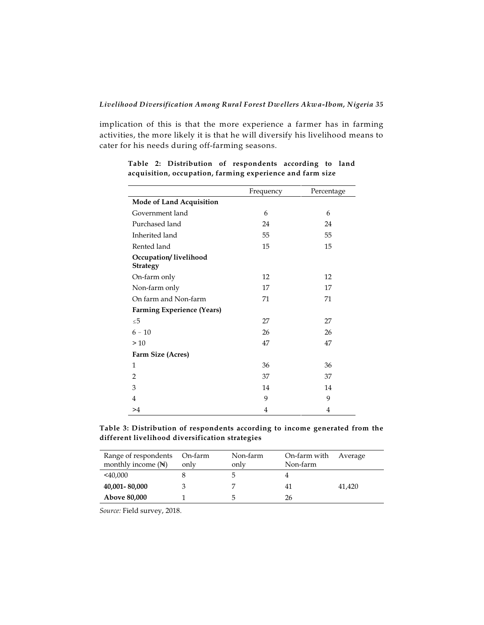implication of this is that the more experience a farmer has in farming activities, the more likely it is that he will diversify his livelihood means to cater for his needs during off-farming seasons.

|                                          | Frequency | Percentage |  |  |  |
|------------------------------------------|-----------|------------|--|--|--|
| Mode of Land Acquisition                 |           |            |  |  |  |
| Government land                          | 6         | 6          |  |  |  |
| Purchased land                           | 24        | 24         |  |  |  |
| Inherited land                           | 55        | 55         |  |  |  |
| Rented land                              | 15        | 15         |  |  |  |
| Occupation/livelihood<br><b>Strategy</b> |           |            |  |  |  |
| On-farm only                             | 12        | 12         |  |  |  |
| Non-farm only                            | 17        | 17         |  |  |  |
| On farm and Non-farm                     | 71        | 71         |  |  |  |
| <b>Farming Experience (Years)</b>        |           |            |  |  |  |
| $\leq 5$                                 | 27        | 27         |  |  |  |
| $6 - 10$                                 | 26        | 26         |  |  |  |
| >10                                      | 47        | 47         |  |  |  |
| Farm Size (Acres)                        |           |            |  |  |  |
| 1                                        | 36        | 36         |  |  |  |
| 2                                        | 37        | 37         |  |  |  |
| 3                                        | 14        | 14         |  |  |  |
| $\overline{4}$                           | 9         | 9          |  |  |  |
| >4                                       | 4         | 4          |  |  |  |

# **Table 2: Distribution of respondents according to land acquisition, occupation, farming experience and farm size**

|  | Table 3: Distribution of respondents according to income generated from the |  |  |  |
|--|-----------------------------------------------------------------------------|--|--|--|
|  | different livelihood diversification strategies                             |  |  |  |

| Range of respondents<br>monthly income $(\mathbb{N})$ | On-farm<br>only | Non-farm<br>only | On-farm with<br>Non-farm | Average |
|-------------------------------------------------------|-----------------|------------------|--------------------------|---------|
| $<$ 40,000                                            |                 |                  |                          |         |
| 40,001-80,000                                         |                 |                  | 41                       | 41,420  |
| <b>Above 80,000</b>                                   |                 |                  | 26                       |         |

*Source:* Field survey, 2018.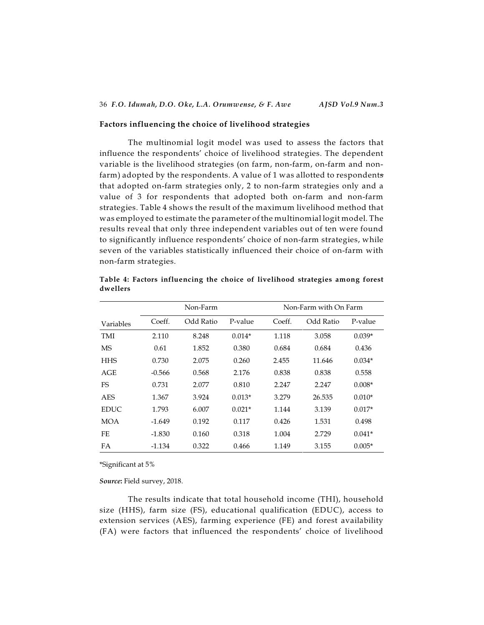#### **Factors influencing the choice of livelihood strategies**

The multinomial logit model was used to assess the factors that influence the respondents' choice of livelihood strategies. The dependent variable is the livelihood strategies (on farm, non-farm, on-farm and nonfarm) adopted by the respondents. A value of 1 was allotted to respondents that adopted on-farm strategies only, 2 to non-farm strategies only and a value of 3 for respondents that adopted both on-farm and non-farm strategies. Table 4 shows the result of the maximum livelihood method that was employed to estimate the parameter of the multinomial logit model. The results reveal that only three independent variables out of ten were found to significantly influence respondents' choice of non-farm strategies, while seven of the variables statistically influenced their choice of on-farm with non-farm strategies.

|             | Non-Farm |           |          |        | Non-Farm with On Farm |          |  |
|-------------|----------|-----------|----------|--------|-----------------------|----------|--|
| Variables   | Coeff.   | Odd Ratio | P-value  | Coeff. | Odd Ratio             | P-value  |  |
| TMI         | 2.110    | 8.248     | $0.014*$ | 1.118  | 3.058                 | $0.039*$ |  |
| MS          | 0.61     | 1.852     | 0.380    | 0.684  | 0.684                 | 0.436    |  |
| <b>HHS</b>  | 0.730    | 2.075     | 0.260    | 2.455  | 11.646                | $0.034*$ |  |
| AGE         | $-0.566$ | 0.568     | 2.176    | 0.838  | 0.838                 | 0.558    |  |
| FS          | 0.731    | 2.077     | 0.810    | 2.247  | 2.247                 | $0.008*$ |  |
| <b>AES</b>  | 1.367    | 3.924     | $0.013*$ | 3.279  | 26.535                | $0.010*$ |  |
| <b>EDUC</b> | 1.793    | 6.007     | $0.021*$ | 1.144  | 3.139                 | $0.017*$ |  |
| MOA         | $-1.649$ | 0.192     | 0.117    | 0.426  | 1.531                 | 0.498    |  |
| FE          | $-1.830$ | 0.160     | 0.318    | 1.004  | 2.729                 | $0.041*$ |  |
| FA          | -1.134   | 0.322     | 0.466    | 1.149  | 3.155                 | $0.005*$ |  |

**Table 4: Factors influencing the choice of livelihood strategies among forest dwellers**

\*Significant at 5%

*Source***:** Field survey, 2018.

The results indicate that total household income (THI), household size (HHS), farm size (FS), educational qualification (EDUC), access to extension services (AES), farming experience (FE) and forest availability (FA) were factors that influenced the respondents' choice of livelihood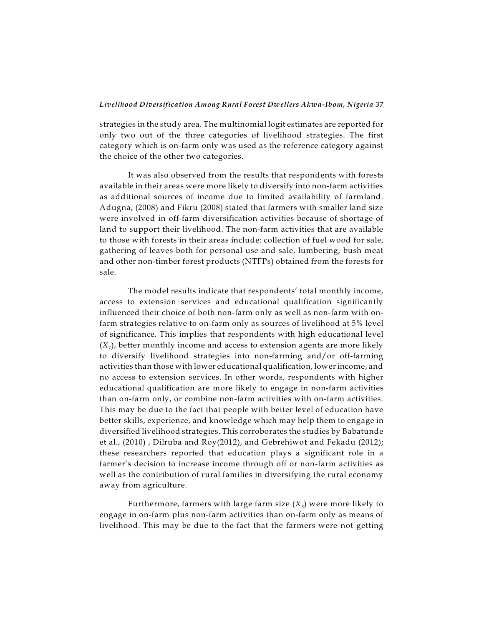strategies in the study area. The multinomial logit estimates are reported for only two out of the three categories of livelihood strategies. The first category which is on-farm only was used as the reference category against the choice of the other two categories.

It was also observed from the results that respondents with forests available in their areas were more likely to diversify into non-farm activities as additional sources of income due to limited availability of farmland. Adugna, (2008) and Fikru (2008) stated that farmers with smaller land size were involved in off-farm diversification activities because of shortage of land to support their livelihood. The non-farm activities that are available to those with forests in their areas include: collection of fuel wood for sale, gathering of leaves both for personal use and sale, lumbering, bush meat and other non-timber forest products (NTFPs) obtained from the forests for sale.

The model results indicate that respondents' total monthly income, access to extension services and educational qualification significantly influenced their choice of both non-farm only as well as non-farm with onfarm strategies relative to on-farm only as sources of livelihood at 5% level of significance. This implies that respondents with high educational level *7* (*X* ), better monthly income and access to extension agents are more likely to diversify livelihood strategies into non-farming and/or off-farming activities than those with lower educational qualification, lowerincome, and no access to extension services. In other words, respondents with higher educational qualification are more likely to engage in non-farm activities than on-farm only, or combine non-farm activities with on-farm activities. This may be due to the fact that people with better level of education have better skills, experience, and knowledge which may help them to engage in diversified livelihood strategies. This corroborates the studies by Babatunde et al., (2010) , Dilruba and Roy(2012), and Gebrehiwot and Fekadu (2012); these researchers reported that education plays a significant role in a farmer's decision to increase income through off or non-farm activities as well as the contribution of rural families in diversifying the rural economy away from agriculture.

Furthermore, farmers with large farm size  $(X_{\scriptscriptstyle{5}})$  were more likely to engage in on-farm plus non-farm activities than on-farm only as means of livelihood. This may be due to the fact that the farmers were not getting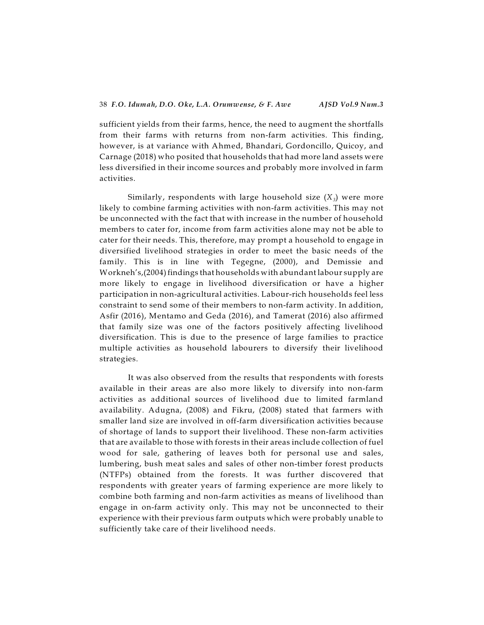sufficient yields from their farms, hence, the need to augment the shortfalls from their farms with returns from non-farm activities. This finding, however, is at variance with Ahmed, Bhandari, Gordoncillo, Quicoy, and Carnage (2018) who posited that households that had more land assets were less diversified in their income sources and probably more involved in farm activities.

Similarly, respondents with large household size  $(X_{\mathfrak z})$  were more likely to combine farming activities with non-farm activities. This may not be unconnected with the fact that with increase in the number of household members to cater for, income from farm activities alone may not be able to cater for their needs. This, therefore, may prompt a household to engage in diversified livelihood strategies in order to meet the basic needs of the family. This is in line with Tegegne, (2000), and Demissie and Workneh's,(2004) findings that households with abundant labour supply are more likely to engage in livelihood diversification or have a higher participation in non-agricultural activities. Labour-rich households feel less constraint to send some of their members to non-farm activity. In addition, Asfir (2016), Mentamo and Geda (2016), and Tamerat (2016) also affirmed that family size was one of the factors positively affecting livelihood diversification. This is due to the presence of large families to practice multiple activities as household labourers to diversify their livelihood strategies.

It was also observed from the results that respondents with forests available in their areas are also more likely to diversify into non-farm activities as additional sources of livelihood due to limited farmland availability. Adugna, (2008) and Fikru, (2008) stated that farmers with smaller land size are involved in off-farm diversification activities because of shortage of lands to support their livelihood. These non-farm activities that are available to those with forests in their areas include collection of fuel wood for sale, gathering of leaves both for personal use and sales, lumbering, bush meat sales and sales of other non-timber forest products (NTFPs) obtained from the forests. It was further discovered that respondents with greater years of farming experience are more likely to combine both farming and non-farm activities as means of livelihood than engage in on-farm activity only. This may not be unconnected to their experience with their previous farm outputs which were probably unable to sufficiently take care of their livelihood needs.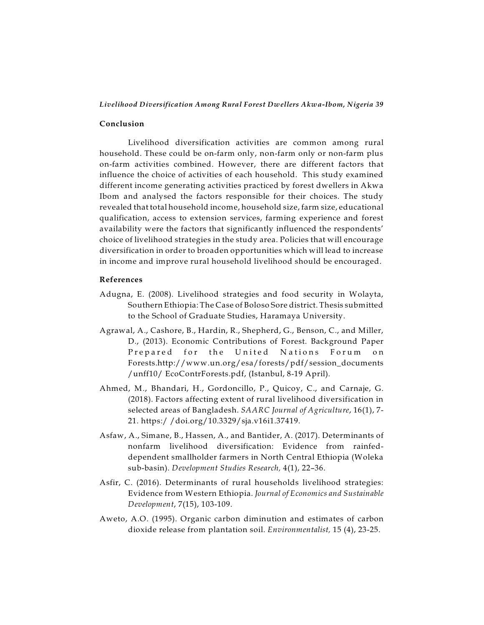#### **Conclusion**

Livelihood diversification activities are common among rural household. These could be on-farm only, non-farm only or non-farm plus on-farm activities combined. However, there are different factors that influence the choice of activities of each household. This study examined different income generating activities practiced by forest dwellers in Akwa Ibom and analysed the factors responsible for their choices. The study revealed that total household income, household size, farm size, educational qualification, access to extension services, farming experience and forest availability were the factors that significantly influenced the respondents' choice of livelihood strategies in the study area. Policies that will encourage diversification in order to broaden opportunities which will lead to increase in income and improve rural household livelihood should be encouraged.

#### **References**

- Adugna, E. (2008). Livelihood strategies and food security in Wolayta, Southern Ethiopia: The Case of Boloso Sore district. Thesis submitted to the School of Graduate Studies, Haramaya University.
- Agrawal, A., Cashore, B., Hardin, R., Shepherd, G., Benson, C., and Miller, D., (2013). Economic Contributions of Forest. Background Paper Prepared for the United Nations Forum on Forests.http://www.un.org/esa/forests/pdf/session\_documents /unff10/ EcoContrForests.pdf, (Istanbul, 8-19 April).
- Ahmed, M., Bhandari, H., Gordoncillo, P., Quicoy, C., and Carnaje, G. (2018). Factors affecting extent of rural livelihood diversification in selected areas of Bangladesh. *SAARC Journal of Agriculture*, 16(1), 7- 21. https:/ /doi.org/10.3329/sja.v16i1.37419.
- Asfaw, A., Simane, B., Hassen, A., and Bantider, A. (2017). Determinants of nonfarm livelihood diversification: Evidence from rainfeddependent smallholder farmers in North Central Ethiopia (Woleka sub-basin). *Development Studies Research,* 4(1), 22–36.
- Asfir, C. (2016). Determinants of rural households livelihood strategies: Evidence from Western Ethiopia. *Journal of Economics and Sustainable Development*, 7(15), 103-109.
- Aweto, A.O. (1995). Organic carbon diminution and estimates of carbon dioxide release from plantation soil. *Environmentalist,* 15 (4), 23-25.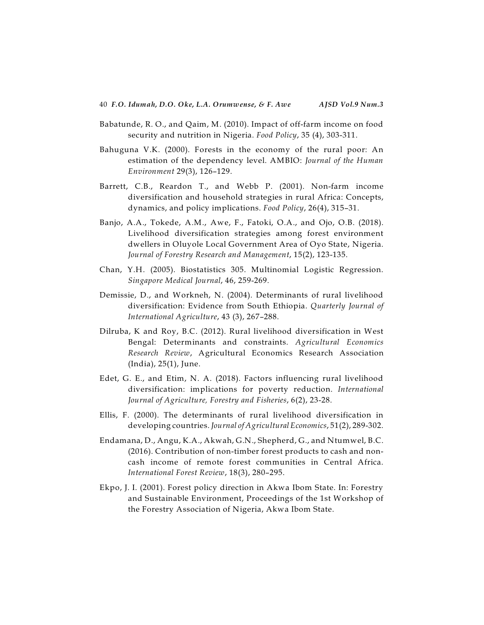- Babatunde, R. O., and Qaim, M. (2010). Impact of off-farm income on food security and nutrition in Nigeria. *Food Policy*, 35 (4), 303-311.
- Bahuguna V.K. (2000). Forests in the economy of the rural poor: An estimation of the dependency level. AMBIO: *Journal of the Human Environment* 29(3), 126–129.
- Barrett, C.B., Reardon T., and Webb P. (2001). Non-farm income diversification and household strategies in rural Africa: Concepts, dynamics, and policy implications. *Food Policy*, 26(4), 315–31.
- Banjo, A.A., Tokede, A.M., Awe, F., Fatoki, O.A., and Ojo, O.B. (2018). Livelihood diversification strategies among forest environment dwellers in Oluyole Local Government Area of Oyo State, Nigeria. *Journal of Forestry Research and Management*, 15(2), 123-135.
- Chan, Y.H. (2005). Biostatistics 305. Multinomial Logistic Regression. *Singapore Medical Journal*, 46, 259-269.
- Demissie, D., and Workneh, N. (2004). Determinants of rural livelihood diversification: Evidence from South Ethiopia. *Quarterly Journal of International Agriculture*, 43 (3), 267–288.
- Dilruba, K and Roy, B.C. (2012). Rural livelihood diversification in West Bengal: Determinants and constraints. *Agricultural Economics Research Review*, Agricultural Economics Research Association (India), 25(1), June.
- Edet, G. E., and Etim, N. A. (2018). Factors influencing rural livelihood diversification: implications for poverty reduction. *International Journal of Agriculture, Forestry and Fisheries*, 6(2), 23-28.
- Ellis, F. (2000). The determinants of rural livelihood diversification in developing countries. *Journal of Agricultural Economics*, 51(2), 289-302.
- Endamana, D., Angu, K.A., Akwah, G.N., Shepherd, G., and Ntumwel, B.C. (2016). Contribution of non-timber forest products to cash and noncash income of remote forest communities in Central Africa. *International Forest Review*, 18(3), 280–295.
- Ekpo, J. I. (2001). Forest policy direction in Akwa Ibom State. In: Forestry and Sustainable Environment, Proceedings of the 1st Workshop of the Forestry Association of Nigeria, Akwa Ibom State.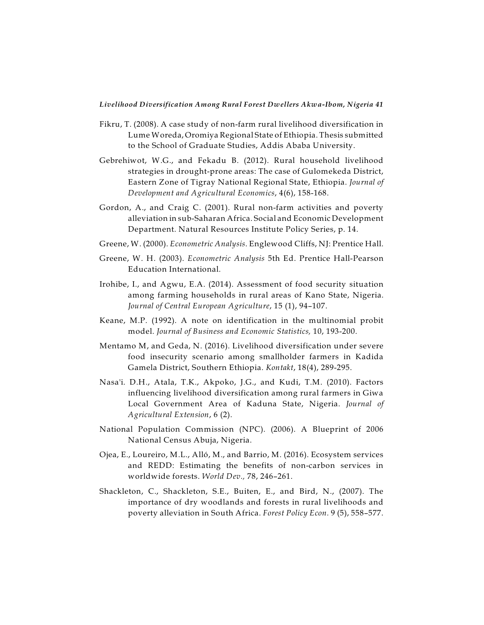- Fikru, T. (2008). A case study of non-farm rural livelihood diversification in Lume Woreda, Oromiya Regional State of Ethiopia. Thesis submitted to the School of Graduate Studies, Addis Ababa University.
- Gebrehiwot, W.G., and Fekadu B. (2012). Rural household livelihood strategies in drought-prone areas: The case of Gulomekeda District, Eastern Zone of Tigray National Regional State, Ethiopia. *Journal of Development and Agricultural Economics*, 4(6), 158-168.
- Gordon, A., and Craig C. (2001). Rural non-farm activities and poverty alleviation in sub-Saharan Africa. Social and Economic Development Department. Natural Resources Institute Policy Series, p. 14.
- Greene, W. (2000). *Econometric Analysis*. Englewood Cliffs, NJ: Prentice Hall.
- Greene, W. H. (2003). *Econometric Analysis* 5th Ed. Prentice Hall-Pearson Education International.
- Irohibe, I., and Agwu, E.A. (2014). Assessment of food security situation among farming households in rural areas of Kano State, Nigeria. *Journal of Central European Agriculture*, 15 (1), 94–107.
- Keane, M.P. (1992). A note on identification in the multinomial probit model. *Journal of Business and Economic Statistics,* 10, 193-200.
- Mentamo M, and Geda, N. (2016). Livelihood diversification under severe food insecurity scenario among smallholder farmers in Kadida Gamela District, Southern Ethiopia. *Kontakt*, 18(4), 289-295.
- Nasa'i. D.H., Atala, T.K., Akpoko, J.G., and Kudi, T.M. (2010). Factors influencing livelihood diversification among rural farmers in Giwa Local Government Area of Kaduna State, Nigeria. *Journal of Agricultural Extension*, 6 (2).
- National Population Commission (NPC). (2006). A Blueprint of 2006 National Census Abuja, Nigeria.
- Ojea, E., Loureiro, M.L., Alló, M., and Barrio, M. (2016). Ecosystem services and REDD: Estimating the benefits of non-carbon services in worldwide forests. *World Dev.,* 78, 246–261.
- Shackleton, C., Shackleton, S.E., Buiten, E., and Bird, N., (2007). The importance of dry woodlands and forests in rural livelihoods and poverty alleviation in South Africa. *Forest Policy Econ.* 9 (5), 558–577.